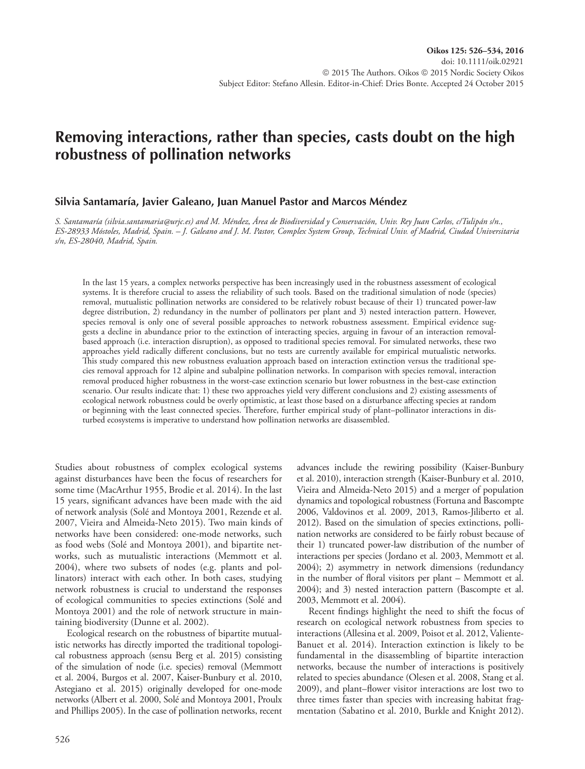# **Removing interactions, rather than species, casts doubt on the high robustness of pollination networks**

### **Silvia Santamaría, Javier Galeano, Juan Manuel Pastor and Marcos Méndez**

*S. Santamaría (silvia.santamaria@urjc.es) and M. Méndez, Área de Biodiversidad y Conservación, Univ. Rey Juan Carlos, c/Tulipán s/n., ES-28933 Móstoles, Madrid, Spain. – J. Galeano and J. M. Pastor, Complex System Group, Technical Univ. of Madrid, Ciudad Universitaria s/n, ES-28040, Madrid, Spain.*

In the last 15 years, a complex networks perspective has been increasingly used in the robustness assessment of ecological systems. It is therefore crucial to assess the reliability of such tools. Based on the traditional simulation of node (species) removal, mutualistic pollination networks are considered to be relatively robust because of their 1) truncated power-law degree distribution, 2) redundancy in the number of pollinators per plant and 3) nested interaction pattern. However, species removal is only one of several possible approaches to network robustness assessment. Empirical evidence suggests a decline in abundance prior to the extinction of interacting species, arguing in favour of an interaction removalbased approach (i.e. interaction disruption), as opposed to traditional species removal. For simulated networks, these two approaches yield radically different conclusions, but no tests are currently available for empirical mutualistic networks. This study compared this new robustness evaluation approach based on interaction extinction versus the traditional species removal approach for 12 alpine and subalpine pollination networks. In comparison with species removal, interaction removal produced higher robustness in the worst-case extinction scenario but lower robustness in the best-case extinction scenario. Our results indicate that: 1) these two approaches yield very different conclusions and 2) existing assessments of ecological network robustness could be overly optimistic, at least those based on a disturbance affecting species at random or beginning with the least connected species. Therefore, further empirical study of plant–pollinator interactions in disturbed ecosystems is imperative to understand how pollination networks are disassembled.

Studies about robustness of complex ecological systems against disturbances have been the focus of researchers for some time (MacArthur 1955, Brodie et al. 2014). In the last 15 years, significant advances have been made with the aid of network analysis (Solé and Montoya 2001, Rezende et al. 2007, Vieira and Almeida-Neto 2015). Two main kinds of networks have been considered: one-mode networks, such as food webs (Solé and Montoya 2001), and bipartite networks, such as mutualistic interactions (Memmott et al. 2004), where two subsets of nodes (e.g. plants and pollinators) interact with each other. In both cases, studying network robustness is crucial to understand the responses of ecological communities to species extinctions (Solé and Montoya 2001) and the role of network structure in maintaining biodiversity (Dunne et al. 2002).

Ecological research on the robustness of bipartite mutualistic networks has directly imported the traditional topological robustness approach (sensu Berg et al. 2015) consisting of the simulation of node (i.e. species) removal (Memmott et al. 2004, Burgos et al. 2007, Kaiser-Bunbury et al. 2010, Astegiano et al. 2015) originally developed for one-mode networks (Albert et al. 2000, Solé and Montoya 2001, Proulx and Phillips 2005). In the case of pollination networks, recent advances include the rewiring possibility (Kaiser-Bunbury et al. 2010), interaction strength (Kaiser-Bunbury et al. 2010, Vieira and Almeida-Neto 2015) and a merger of population dynamics and topological robustness (Fortuna and Bascompte 2006, Valdovinos et al. 2009, 2013, Ramos-Jiliberto et al. 2012). Based on the simulation of species extinctions, pollination networks are considered to be fairly robust because of their 1) truncated power-law distribution of the number of interactions per species (Jordano et al. 2003, Memmott et al. 2004); 2) asymmetry in network dimensions (redundancy in the number of floral visitors per plant – Memmott et al. 2004); and 3) nested interaction pattern (Bascompte et al. 2003, Memmott et al. 2004).

Recent findings highlight the need to shift the focus of research on ecological network robustness from species to interactions (Allesina et al. 2009, Poisot et al. 2012, Valiente-Banuet et al. 2014). Interaction extinction is likely to be fundamental in the disassembling of bipartite interaction networks, because the number of interactions is positively related to species abundance (Olesen et al. 2008, Stang et al. 2009), and plant–flower visitor interactions are lost two to three times faster than species with increasing habitat fragmentation (Sabatino et al. 2010, Burkle and Knight 2012).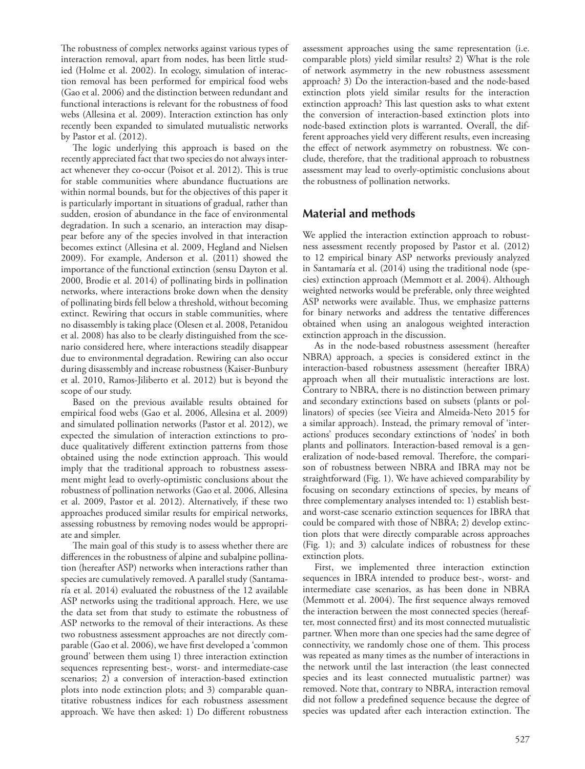The robustness of complex networks against various types of interaction removal, apart from nodes, has been little studied (Holme et al. 2002). In ecology, simulation of interaction removal has been performed for empirical food webs (Gao et al. 2006) and the distinction between redundant and functional interactions is relevant for the robustness of food webs (Allesina et al. 2009). Interaction extinction has only recently been expanded to simulated mutualistic networks by Pastor et al. (2012).

The logic underlying this approach is based on the recently appreciated fact that two species do not always interact whenever they co-occur (Poisot et al. 2012). This is true for stable communities where abundance fluctuations are within normal bounds, but for the objectives of this paper it is particularly important in situations of gradual, rather than sudden, erosion of abundance in the face of environmental degradation. In such a scenario, an interaction may disappear before any of the species involved in that interaction becomes extinct (Allesina et al. 2009, Hegland and Nielsen 2009). For example, Anderson et al. (2011) showed the importance of the functional extinction (sensu Dayton et al. 2000, Brodie et al. 2014) of pollinating birds in pollination networks, where interactions broke down when the density of pollinating birds fell below a threshold, without becoming extinct. Rewiring that occurs in stable communities, where no disassembly is taking place (Olesen et al. 2008, Petanidou et al. 2008) has also to be clearly distinguished from the scenario considered here, where interactions steadily disappear due to environmental degradation. Rewiring can also occur during disassembly and increase robustness (Kaiser-Bunbury et al. 2010, Ramos-Jiliberto et al. 2012) but is beyond the scope of our study.

Based on the previous available results obtained for empirical food webs (Gao et al. 2006, Allesina et al. 2009) and simulated pollination networks (Pastor et al. 2012), we expected the simulation of interaction extinctions to produce qualitatively different extinction patterns from those obtained using the node extinction approach. This would imply that the traditional approach to robustness assessment might lead to overly-optimistic conclusions about the robustness of pollination networks (Gao et al. 2006, Allesina et al. 2009, Pastor et al. 2012). Alternatively, if these two approaches produced similar results for empirical networks, assessing robustness by removing nodes would be appropriate and simpler.

The main goal of this study is to assess whether there are differences in the robustness of alpine and subalpine pollination (hereafter ASP) networks when interactions rather than species are cumulatively removed. A parallel study (Santamaría et al. 2014) evaluated the robustness of the 12 available ASP networks using the traditional approach. Here, we use the data set from that study to estimate the robustness of ASP networks to the removal of their interactions. As these two robustness assessment approaches are not directly comparable (Gao et al. 2006), we have first developed a 'common ground' between them using 1) three interaction extinction sequences representing best-, worst- and intermediate-case scenarios; 2) a conversion of interaction-based extinction plots into node extinction plots; and 3) comparable quantitative robustness indices for each robustness assessment approach. We have then asked: 1) Do different robustness assessment approaches using the same representation (i.e. comparable plots) yield similar results? 2) What is the role of network asymmetry in the new robustness assessment approach? 3) Do the interaction-based and the node-based extinction plots yield similar results for the interaction extinction approach? This last question asks to what extent the conversion of interaction-based extinction plots into node-based extinction plots is warranted. Overall, the different approaches yield very different results, even increasing the effect of network asymmetry on robustness. We conclude, therefore, that the traditional approach to robustness assessment may lead to overly-optimistic conclusions about the robustness of pollination networks.

# **Material and methods**

We applied the interaction extinction approach to robustness assessment recently proposed by Pastor et al. (2012) to 12 empirical binary ASP networks previously analyzed in Santamaría et al. (2014) using the traditional node (species) extinction approach (Memmott et al. 2004). Although weighted networks would be preferable, only three weighted ASP networks were available. Thus, we emphasize patterns for binary networks and address the tentative differences obtained when using an analogous weighted interaction extinction approach in the discussion.

As in the node-based robustness assessment (hereafter NBRA) approach, a species is considered extinct in the interaction-based robustness assessment (hereafter IBRA) approach when all their mutualistic interactions are lost. Contrary to NBRA, there is no distinction between primary and secondary extinctions based on subsets (plants or pollinators) of species (see Vieira and Almeida-Neto 2015 for a similar approach). Instead, the primary removal of 'interactions' produces secondary extinctions of 'nodes' in both plants and pollinators. Interaction-based removal is a generalization of node-based removal. Therefore, the comparison of robustness between NBRA and IBRA may not be straightforward (Fig. 1). We have achieved comparability by focusing on secondary extinctions of species, by means of three complementary analyses intended to: 1) establish bestand worst-case scenario extinction sequences for IBRA that could be compared with those of NBRA; 2) develop extinction plots that were directly comparable across approaches (Fig. 1); and 3) calculate indices of robustness for these extinction plots.

First, we implemented three interaction extinction sequences in IBRA intended to produce best-, worst- and intermediate case scenarios, as has been done in NBRA (Memmott et al. 2004). The first sequence always removed the interaction between the most connected species (hereafter, most connected first) and its most connected mutualistic partner. When more than one species had the same degree of connectivity, we randomly chose one of them. This process was repeated as many times as the number of interactions in the network until the last interaction (the least connected species and its least connected mutualistic partner) was removed. Note that, contrary to NBRA, interaction removal did not follow a predefined sequence because the degree of species was updated after each interaction extinction. The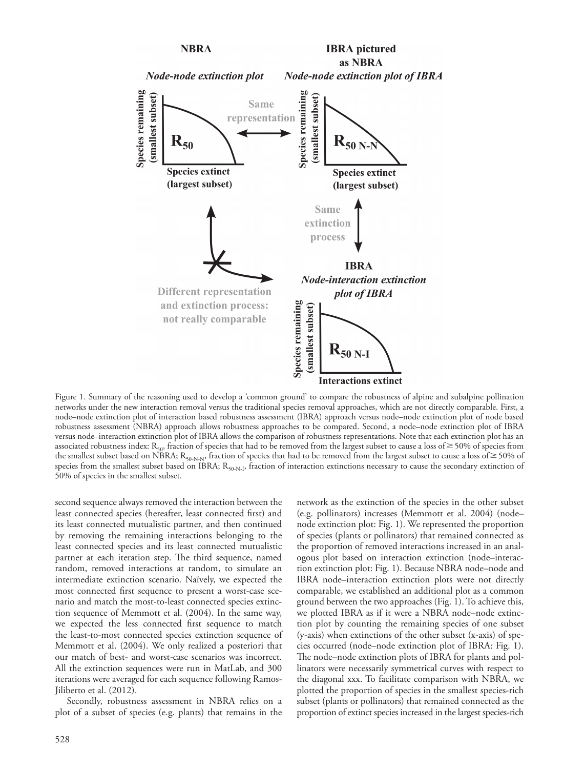

Figure 1. Summary of the reasoning used to develop a 'common ground' to compare the robustness of alpine and subalpine pollination networks under the new interaction removal versus the traditional species removal approaches, which are not directly comparable. First, a node–node extinction plot of interaction based robustness assessment (IBRA) approach versus node–node extinction plot of node based robustness assessment (NBRA) approach allows robustness approaches to be compared. Second, a node–node extinction plot of IBRA versus node–interaction extinction plot of IBRA allows the comparison of robustness representations. Note that each extinction plot has an associated robustness index:  $R_{50}$ , fraction of species that had to be removed from the largest subset to cause a loss of  $\geq$  50% of species from the smallest subset based on NBRA;  $R_{50-N-N}$ , fraction of species that had to be removed from the largest subset to cause a loss of  $\geq$  50% of species from the smallest subset based on IBRA;  $R_{50-N-1}$ , fraction of interaction extinctions necessary to cause the secondary extinction of 50% of species in the smallest subset.

second sequence always removed the interaction between the least connected species (hereafter, least connected first) and its least connected mutualistic partner, and then continued by removing the remaining interactions belonging to the least connected species and its least connected mutualistic partner at each iteration step. The third sequence, named random, removed interactions at random, to simulate an intermediate extinction scenario. Naïvely, we expected the most connected first sequence to present a worst-case scenario and match the most-to-least connected species extinction sequence of Memmott et al. (2004). In the same way, we expected the less connected first sequence to match the least-to-most connected species extinction sequence of Memmott et al. (2004). We only realized a posteriori that our match of best- and worst-case scenarios was incorrect. All the extinction sequences were run in MatLab, and 300 iterations were averaged for each sequence following Ramos-Jiliberto et al. (2012).

Secondly, robustness assessment in NBRA relies on a plot of a subset of species (e.g. plants) that remains in the network as the extinction of the species in the other subset (e.g. pollinators) increases (Memmott et al. 2004) (node– node extinction plot: Fig. 1). We represented the proportion of species (plants or pollinators) that remained connected as the proportion of removed interactions increased in an analogous plot based on interaction extinction (node–interaction extinction plot: Fig. 1). Because NBRA node–node and IBRA node–interaction extinction plots were not directly comparable, we established an additional plot as a common ground between the two approaches (Fig. 1). To achieve this, we plotted IBRA as if it were a NBRA node–node extinction plot by counting the remaining species of one subset (y-axis) when extinctions of the other subset (x-axis) of species occurred (node–node extinction plot of IBRA: Fig. 1). The node–node extinction plots of IBRA for plants and pollinators were necessarily symmetrical curves with respect to the diagonal xxx. To facilitate comparison with NBRA, we plotted the proportion of species in the smallest species-rich subset (plants or pollinators) that remained connected as the proportion of extinct species increased in the largest species-rich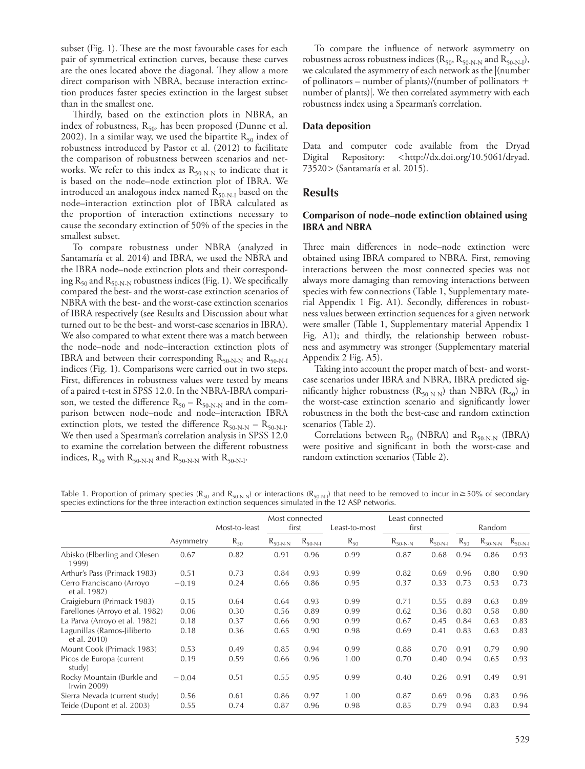subset (Fig. 1). These are the most favourable cases for each pair of symmetrical extinction curves, because these curves are the ones located above the diagonal. They allow a more direct comparison with NBRA, because interaction extinction produces faster species extinction in the largest subset than in the smallest one.

Thirdly, based on the extinction plots in NBRA, an index of robustness,  $R_{50}$ , has been proposed (Dunne et al. 2002). In a similar way, we used the bipartite  $R_{50}$  index of robustness introduced by Pastor et al. (2012) to facilitate the comparison of robustness between scenarios and networks. We refer to this index as  $R_{50-N-N}$  to indicate that it is based on the node–node extinction plot of IBRA. We introduced an analogous index named  $R_{50-N-I}$  based on the node–interaction extinction plot of IBRA calculated as the proportion of interaction extinctions necessary to cause the secondary extinction of 50% of the species in the smallest subset.

To compare robustness under NBRA (analyzed in Santamaría et al. 2014) and IBRA, we used the NBRA and the IBRA node–node extinction plots and their corresponding  $R_{50}$  and  $R_{50-N-N}$  robustness indices (Fig. 1). We specifically compared the best- and the worst-case extinction scenarios of NBRA with the best- and the worst-case extinction scenarios of IBRA respectively (see Results and Discussion about what turned out to be the best- and worst-case scenarios in IBRA). We also compared to what extent there was a match between the node–node and node–interaction extinction plots of IBRA and between their corresponding  $R_{50-N-N}$  and  $R_{50-N-I}$ indices (Fig. 1). Comparisons were carried out in two steps. First, differences in robustness values were tested by means of a paired t-test in SPSS 12.0. In the NBRA-IBRA comparison, we tested the difference  $R_{50} - R_{50-N-N}$  and in the comparison between node–node and node–interaction IBRA extinction plots, we tested the difference  $R_{50-N-N} - R_{50-N-I}$ . We then used a Spearman's correlation analysis in SPSS 12.0 to examine the correlation between the different robustness indices,  $\rm R_{50}$  with  $\rm R_{50\text{-}N\text{-}N}$  and  $\rm R_{50\text{-}N\text{-}N}$  with  $\rm R_{50\text{-}N\text{-}I}.$ 

To compare the influence of network asymmetry on robustness across robustness indices  $(R_{50}, R_{50-N-N}$  and  $R_{50-N-I}$ ), we calculated the asymmetry of each network as the |(number of pollinators – number of plants)/(number of pollinators number of plants)|. We then correlated asymmetry with each robustness index using a Spearman's correlation.

### **Data deposition**

Data and computer code available from the Dryad Digital Repository: <http://dx.doi.org/10.5061/dryad. 73520> (Santamaría et al. 2015).

### **Results**

### **Comparison of node–node extinction obtained using IBRA and NBRA**

Three main differences in node–node extinction were obtained using IBRA compared to NBRA. First, removing interactions between the most connected species was not always more damaging than removing interactions between species with few connections (Table 1, Supplementary material Appendix 1 Fig. A1). Secondly, differences in robustness values between extinction sequences for a given network were smaller (Table 1, Supplementary material Appendix 1 Fig. A1); and thirdly, the relationship between robustness and asymmetry was stronger (Supplementary material Appendix 2 Fig. A5).

Taking into account the proper match of best- and worstcase scenarios under IBRA and NBRA, IBRA predicted significantly higher robustness  $(R_{50-N-N})$  than NBRA  $(R_{50})$  in the worst-case extinction scenario and significantly lower robustness in the both the best-case and random extinction scenarios (Table 2).

Correlations between  $R_{50}$  (NBRA) and  $R_{50-N-N}$  (IBRA) were positive and significant in both the worst-case and random extinction scenarios (Table 2).

Table 1. Proportion of primary species (R<sub>50</sub> and R<sub>50-N-N</sub>) or interactions (R<sub>50-N-I</sub>) that need to be removed to incur in  $\geq$  50% of secondary species extinctions for the three interaction extinction sequences simulated in the 12 ASP networks.

|                                              | Asymmetry | Most-to-least | Most connected<br>first |              | Least-to-most | Least connected<br>first |              | Random       |          |              |
|----------------------------------------------|-----------|---------------|-------------------------|--------------|---------------|--------------------------|--------------|--------------|----------|--------------|
|                                              |           |               | $R_{50}$                | $R_{50-N-N}$ | $R_{50-N-I}$  | $R_{50}$                 | $R_{50-N-N}$ | $R_{50-N-I}$ | $R_{50}$ | $R_{50-N-N}$ |
| Abisko (Elberling and Olesen<br>1999)        | 0.67      | 0.82          | 0.91                    | 0.96         | 0.99          | 0.87                     | 0.68         | 0.94         | 0.86     | 0.93         |
| Arthur's Pass (Primack 1983)                 | 0.51      | 0.73          | 0.84                    | 0.93         | 0.99          | 0.82                     | 0.69         | 0.96         | 0.80     | 0.90         |
| Cerro Franciscano (Arroyo<br>et al. 1982)    | $-0.19$   | 0.24          | 0.66                    | 0.86         | 0.95          | 0.37                     | 0.33         | 0.73         | 0.53     | 0.73         |
| Craigieburn (Primack 1983)                   | 0.15      | 0.64          | 0.64                    | 0.93         | 0.99          | 0.71                     | 0.55         | 0.89         | 0.63     | 0.89         |
| Farellones (Arroyo et al. 1982)              | 0.06      | 0.30          | 0.56                    | 0.89         | 0.99          | 0.62                     | 0.36         | 0.80         | 0.58     | 0.80         |
| La Parva (Arroyo et al. 1982)                | 0.18      | 0.37          | 0.66                    | 0.90         | 0.99          | 0.67                     | 0.45         | 0.84         | 0.63     | 0.83         |
| Lagunillas (Ramos-Jiliberto<br>et al. 2010)  | 0.18      | 0.36          | 0.65                    | 0.90         | 0.98          | 0.69                     | 0.41         | 0.83         | 0.63     | 0.83         |
| Mount Cook (Primack 1983)                    | 0.53      | 0.49          | 0.85                    | 0.94         | 0.99          | 0.88                     | 0.70         | 0.91         | 0.79     | 0.90         |
| Picos de Europa (current<br>study)           | 0.19      | 0.59          | 0.66                    | 0.96         | 1.00          | 0.70                     | 0.40         | 0.94         | 0.65     | 0.93         |
| Rocky Mountain (Burkle and<br>Irwin $2009$ ) | $-0.04$   | 0.51          | 0.55                    | 0.95         | 0.99          | 0.40                     | 0.26         | 0.91         | 0.49     | 0.91         |
| Sierra Nevada (current study)                | 0.56      | 0.61          | 0.86                    | 0.97         | 1.00          | 0.87                     | 0.69         | 0.96         | 0.83     | 0.96         |
| Teide (Dupont et al. 2003)                   | 0.55      | 0.74          | 0.87                    | 0.96         | 0.98          | 0.85                     | 0.79         | 0.94         | 0.83     | 0.94         |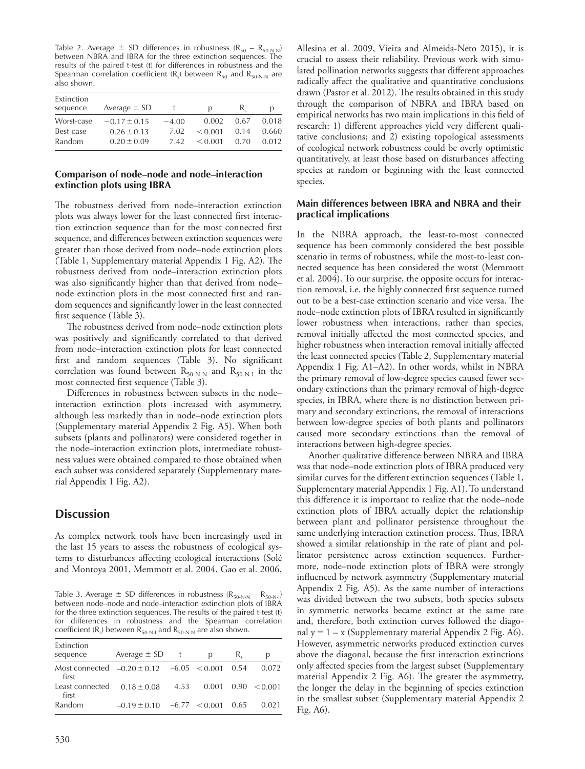Table 2. Average  $\pm$  SD differences in robustness (R<sub>50</sub> – R<sub>50-N-N</sub>) between NBRA and IBRA for the three extinction sequences. The results of the paired t-test (t) for differences in robustness and the Spearman correlation coefficient  $(R_s)$  between  $R_{50}$  and  $R_{50-N-N}$  are also shown.

| Extinction<br>sequence | Average $\pm$ SD |         | D       | К,   |       |
|------------------------|------------------|---------|---------|------|-------|
| Worst-case             | $-0.17 \pm 0.15$ | $-4.00$ | 0.002   | 0.67 | 0.018 |
| Best-case              | $0.26 \pm 0.13$  | 7.02    | < 0.001 | 0.14 | 0.660 |
| Random                 | $0.20 \pm 0.09$  | 7.42    | < 0.001 | 0.70 | 0.012 |

### **Comparison of node–node and node–interaction extinction plots using IBRA**

The robustness derived from node–interaction extinction plots was always lower for the least connected first interaction extinction sequence than for the most connected first sequence, and differences between extinction sequences were greater than those derived from node–node extinction plots (Table 1, Supplementary material Appendix 1 Fig. A2). The robustness derived from node–interaction extinction plots was also significantly higher than that derived from node– node extinction plots in the most connected first and random sequences and significantly lower in the least connected first sequence (Table 3).

The robustness derived from node–node extinction plots was positively and significantly correlated to that derived from node–interaction extinction plots for least connected first and random sequences (Table 3). No significant correlation was found between  $R_{50-N-N}$  and  $R_{50-N-I}$  in the most connected first sequence (Table 3).

Differences in robustness between subsets in the node– interaction extinction plots increased with asymmetry, although less markedly than in node–node extinction plots (Supplementary material Appendix 2 Fig. A5). When both subsets (plants and pollinators) were considered together in the node–interaction extinction plots, intermediate robustness values were obtained compared to those obtained when each subset was considered separately (Supplementary material Appendix 1 Fig. A2).

# **Discussion**

As complex network tools have been increasingly used in the last 15 years to assess the robustness of ecological systems to disturbances affecting ecological interactions (Solé and Montoya 2001, Memmott et al. 2004, Gao et al. 2006,

Table 3. Average  $\pm$  SD differences in robustness ( $R_{50-N-N} - R_{50-N-1}$ ) between node–node and node–interaction extinction plots of IBRA for the three extinction sequences. The results of the paired t-test (t) for differences in robustness and the Spearman correlation coefficient  $(R_s)$  between  $R_{50-N-1}$  and  $R_{50-N-N}$  are also shown.

| Extinction<br>sequence                                        | Average $\pm$ SD | $-t$ | р                 | К,   | р                |
|---------------------------------------------------------------|------------------|------|-------------------|------|------------------|
| Most connected $-0.20 \pm 0.12$ $-6.05$ < 0.001 0.54<br>first |                  |      |                   |      | 0.072            |
| Least connected<br>first                                      | $0.18 \pm 0.08$  | 4.53 | 0.001             |      | $0.90 \le 0.001$ |
| Random                                                        | $-0.19 + 0.10$   |      | $-6.77 \le 0.001$ | 0.65 | 0.021            |

530

Allesina et al. 2009, Vieira and Almeida-Neto 2015), it is crucial to assess their reliability. Previous work with simulated pollination networks suggests that different approaches radically affect the qualitative and quantitative conclusions drawn (Pastor et al. 2012). The results obtained in this study through the comparison of NBRA and IBRA based on empirical networks has two main implications in this field of research: 1) different approaches yield very different qualitative conclusions; and 2) existing topological assessments of ecological network robustness could be overly optimistic quantitatively, at least those based on disturbances affecting species at random or beginning with the least connected species.

### **Main differences between IBRA and NBRA and their practical implications**

In the NBRA approach, the least-to-most connected sequence has been commonly considered the best possible scenario in terms of robustness, while the most-to-least connected sequence has been considered the worst (Memmott et al. 2004). To our surprise, the opposite occurs for interaction removal, i.e. the highly connected first sequence turned out to be a best-case extinction scenario and vice versa. The node–node extinction plots of IBRA resulted in significantly lower robustness when interactions, rather than species, removal initially affected the most connected species, and higher robustness when interaction removal initially affected the least connected species (Table 2, Supplementary material Appendix 1 Fig. A1–A2). In other words, whilst in NBRA the primary removal of low-degree species caused fewer secondary extinctions than the primary removal of high-degree species, in IBRA, where there is no distinction between primary and secondary extinctions, the removal of interactions between low-degree species of both plants and pollinators caused more secondary extinctions than the removal of interactions between high-degree species.

Another qualitative difference between NBRA and IBRA was that node–node extinction plots of IBRA produced very similar curves for the different extinction sequences (Table 1, Supplementary material Appendix 1 Fig. A1). To understand this difference it is important to realize that the node–node extinction plots of IBRA actually depict the relationship between plant and pollinator persistence throughout the same underlying interaction extinction process. Thus, IBRA showed a similar relationship in the rate of plant and pollinator persistence across extinction sequences. Furthermore, node–node extinction plots of IBRA were strongly influenced by network asymmetry (Supplementary material Appendix 2 Fig. A5). As the same number of interactions was divided between the two subsets, both species subsets in symmetric networks became extinct at the same rate and, therefore, both extinction curves followed the diagonal  $y = 1 - x$  (Supplementary material Appendix 2 Fig. A6). However, asymmetric networks produced extinction curves above the diagonal, because the first interaction extinctions only affected species from the largest subset (Supplementary material Appendix 2 Fig. A6). The greater the asymmetry, the longer the delay in the beginning of species extinction in the smallest subset (Supplementary material Appendix 2 Fig. A6).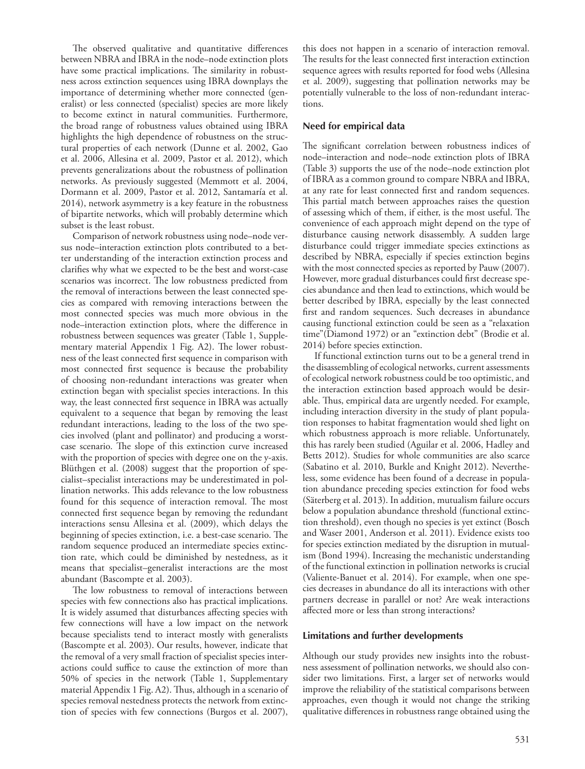The observed qualitative and quantitative differences between NBRA and IBRA in the node–node extinction plots have some practical implications. The similarity in robustness across extinction sequences using IBRA downplays the importance of determining whether more connected (generalist) or less connected (specialist) species are more likely to become extinct in natural communities. Furthermore, the broad range of robustness values obtained using IBRA highlights the high dependence of robustness on the structural properties of each network (Dunne et al. 2002, Gao et al. 2006, Allesina et al. 2009, Pastor et al. 2012), which prevents generalizations about the robustness of pollination networks. As previously suggested (Memmott et al. 2004, Dormann et al. 2009, Pastor et al. 2012, Santamaría et al. 2014), network asymmetry is a key feature in the robustness of bipartite networks, which will probably determine which subset is the least robust.

Comparison of network robustness using node–node versus node–interaction extinction plots contributed to a better understanding of the interaction extinction process and clarifies why what we expected to be the best and worst-case scenarios was incorrect. The low robustness predicted from the removal of interactions between the least connected species as compared with removing interactions between the most connected species was much more obvious in the node–interaction extinction plots, where the difference in robustness between sequences was greater (Table 1, Supplementary material Appendix 1 Fig. A2). The lower robustness of the least connected first sequence in comparison with most connected first sequence is because the probability of choosing non-redundant interactions was greater when extinction began with specialist species interactions. In this way, the least connected first sequence in IBRA was actually equivalent to a sequence that began by removing the least redundant interactions, leading to the loss of the two species involved (plant and pollinator) and producing a worstcase scenario. The slope of this extinction curve increased with the proportion of species with degree one on the y-axis. Blüthgen et al. (2008) suggest that the proportion of specialist–specialist interactions may be underestimated in pollination networks. This adds relevance to the low robustness found for this sequence of interaction removal. The most connected first sequence began by removing the redundant interactions sensu Allesina et al. (2009), which delays the beginning of species extinction, i.e. a best-case scenario. The random sequence produced an intermediate species extinction rate, which could be diminished by nestedness, as it means that specialist–generalist interactions are the most abundant (Bascompte et al. 2003).

The low robustness to removal of interactions between species with few connections also has practical implications. It is widely assumed that disturbances affecting species with few connections will have a low impact on the network because specialists tend to interact mostly with generalists (Bascompte et al. 2003). Our results, however, indicate that the removal of a very small fraction of specialist species interactions could suffice to cause the extinction of more than 50% of species in the network (Table 1, Supplementary material Appendix 1 Fig. A2). Thus, although in a scenario of species removal nestedness protects the network from extinction of species with few connections (Burgos et al. 2007), this does not happen in a scenario of interaction removal. The results for the least connected first interaction extinction sequence agrees with results reported for food webs (Allesina et al. 2009), suggesting that pollination networks may be potentially vulnerable to the loss of non-redundant interactions.

#### **Need for empirical data**

The significant correlation between robustness indices of node–interaction and node–node extinction plots of IBRA (Table 3) supports the use of the node–node extinction plot of IBRA as a common ground to compare NBRA and IBRA, at any rate for least connected first and random sequences. This partial match between approaches raises the question of assessing which of them, if either, is the most useful. The convenience of each approach might depend on the type of disturbance causing network disassembly. A sudden large disturbance could trigger immediate species extinctions as described by NBRA, especially if species extinction begins with the most connected species as reported by Pauw (2007). However, more gradual disturbances could first decrease species abundance and then lead to extinctions, which would be better described by IBRA, especially by the least connected first and random sequences. Such decreases in abundance causing functional extinction could be seen as a "relaxation time"(Diamond 1972) or an "extinction debt" (Brodie et al. 2014) before species extinction.

If functional extinction turns out to be a general trend in the disassembling of ecological networks, current assessments of ecological network robustness could be too optimistic, and the interaction extinction based approach would be desirable. Thus, empirical data are urgently needed. For example, including interaction diversity in the study of plant population responses to habitat fragmentation would shed light on which robustness approach is more reliable. Unfortunately, this has rarely been studied (Aguilar et al. 2006, Hadley and Betts 2012). Studies for whole communities are also scarce (Sabatino et al. 2010, Burkle and Knight 2012). Nevertheless, some evidence has been found of a decrease in population abundance preceding species extinction for food webs (Säterberg et al. 2013). In addition, mutualism failure occurs below a population abundance threshold (functional extinction threshold), even though no species is yet extinct (Bosch and Waser 2001, Anderson et al. 2011). Evidence exists too for species extinction mediated by the disruption in mutualism (Bond 1994). Increasing the mechanistic understanding of the functional extinction in pollination networks is crucial (Valiente-Banuet et al. 2014). For example, when one species decreases in abundance do all its interactions with other partners decrease in parallel or not? Are weak interactions affected more or less than strong interactions?

#### **Limitations and further developments**

Although our study provides new insights into the robustness assessment of pollination networks, we should also consider two limitations. First, a larger set of networks would improve the reliability of the statistical comparisons between approaches, even though it would not change the striking qualitative differences in robustness range obtained using the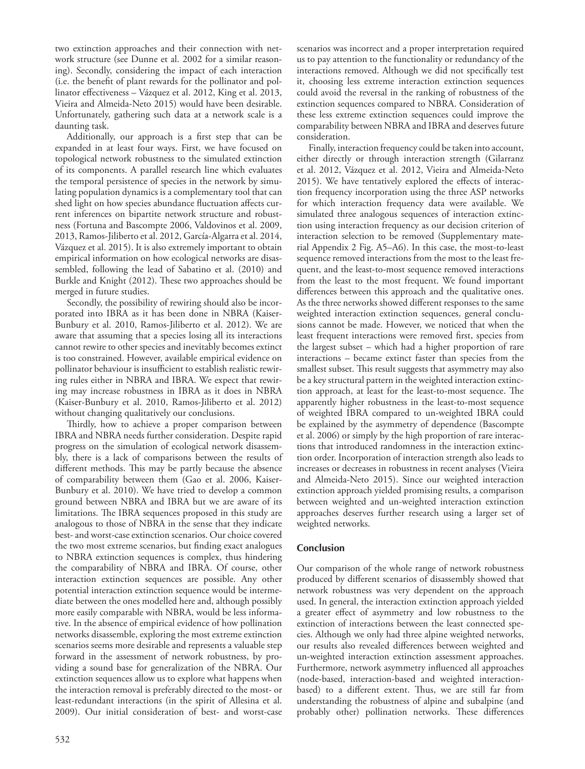two extinction approaches and their connection with network structure (see Dunne et al. 2002 for a similar reasoning). Secondly, considering the impact of each interaction (i.e. the benefit of plant rewards for the pollinator and pollinator effectiveness – Vázquez et al. 2012, King et al. 2013, Vieira and Almeida-Neto 2015) would have been desirable. Unfortunately, gathering such data at a network scale is a daunting task.

Additionally, our approach is a first step that can be expanded in at least four ways. First, we have focused on topological network robustness to the simulated extinction of its components. A parallel research line which evaluates the temporal persistence of species in the network by simulating population dynamics is a complementary tool that can shed light on how species abundance fluctuation affects current inferences on bipartite network structure and robustness (Fortuna and Bascompte 2006, Valdovinos et al. 2009, 2013, Ramos-Jiliberto et al. 2012, García-Algarra et al. 2014, Vázquez et al. 2015). It is also extremely important to obtain empirical information on how ecological networks are disassembled, following the lead of Sabatino et al. (2010) and Burkle and Knight (2012). These two approaches should be merged in future studies.

Secondly, the possibility of rewiring should also be incorporated into IBRA as it has been done in NBRA (Kaiser-Bunbury et al. 2010, Ramos-Jiliberto et al. 2012). We are aware that assuming that a species losing all its interactions cannot rewire to other species and inevitably becomes extinct is too constrained. However, available empirical evidence on pollinator behaviour is insufficient to establish realistic rewiring rules either in NBRA and IBRA. We expect that rewiring may increase robustness in IBRA as it does in NBRA (Kaiser-Bunbury et al. 2010, Ramos-Jiliberto et al. 2012) without changing qualitatively our conclusions.

Thirdly, how to achieve a proper comparison between IBRA and NBRA needs further consideration. Despite rapid progress on the simulation of ecological network disassembly, there is a lack of comparisons between the results of different methods. This may be partly because the absence of comparability between them (Gao et al. 2006, Kaiser-Bunbury et al. 2010). We have tried to develop a common ground between NBRA and IBRA but we are aware of its limitations. The IBRA sequences proposed in this study are analogous to those of NBRA in the sense that they indicate best- and worst-case extinction scenarios. Our choice covered the two most extreme scenarios, but finding exact analogues to NBRA extinction sequences is complex, thus hindering the comparability of NBRA and IBRA. Of course, other interaction extinction sequences are possible. Any other potential interaction extinction sequence would be intermediate between the ones modelled here and, although possibly more easily comparable with NBRA, would be less informative. In the absence of empirical evidence of how pollination networks disassemble, exploring the most extreme extinction scenarios seems more desirable and represents a valuable step forward in the assessment of network robustness, by providing a sound base for generalization of the NBRA. Our extinction sequences allow us to explore what happens when the interaction removal is preferably directed to the most- or least-redundant interactions (in the spirit of Allesina et al. 2009). Our initial consideration of best- and worst-case

scenarios was incorrect and a proper interpretation required us to pay attention to the functionality or redundancy of the interactions removed. Although we did not specifically test it, choosing less extreme interaction extinction sequences could avoid the reversal in the ranking of robustness of the extinction sequences compared to NBRA. Consideration of these less extreme extinction sequences could improve the comparability between NBRA and IBRA and deserves future consideration.

Finally, interaction frequency could be taken into account, either directly or through interaction strength (Gilarranz et al. 2012, Vázquez et al. 2012, Vieira and Almeida-Neto 2015). We have tentatively explored the effects of interaction frequency incorporation using the three ASP networks for which interaction frequency data were available. We simulated three analogous sequences of interaction extinction using interaction frequency as our decision criterion of interaction selection to be removed (Supplementary material Appendix 2 Fig. A5–A6). In this case, the most-to-least sequence removed interactions from the most to the least frequent, and the least-to-most sequence removed interactions from the least to the most frequent. We found important differences between this approach and the qualitative ones. As the three networks showed different responses to the same weighted interaction extinction sequences, general conclusions cannot be made. However, we noticed that when the least frequent interactions were removed first, species from the largest subset – which had a higher proportion of rare interactions – became extinct faster than species from the smallest subset. This result suggests that asymmetry may also be a key structural pattern in the weighted interaction extinction approach, at least for the least-to-most sequence. The apparently higher robustness in the least-to-most sequence of weighted IBRA compared to un-weighted IBRA could be explained by the asymmetry of dependence (Bascompte et al. 2006) or simply by the high proportion of rare interactions that introduced randomness in the interaction extinction order. Incorporation of interaction strength also leads to increases or decreases in robustness in recent analyses (Vieira and Almeida-Neto 2015). Since our weighted interaction extinction approach yielded promising results, a comparison between weighted and un-weighted interaction extinction approaches deserves further research using a larger set of weighted networks.

## **Conclusion**

Our comparison of the whole range of network robustness produced by different scenarios of disassembly showed that network robustness was very dependent on the approach used. In general, the interaction extinction approach yielded a greater effect of asymmetry and low robustness to the extinction of interactions between the least connected species. Although we only had three alpine weighted networks, our results also revealed differences between weighted and un-weighted interaction extinction assessment approaches. Furthermore, network asymmetry influenced all approaches (node-based, interaction-based and weighted interactionbased) to a different extent. Thus, we are still far from understanding the robustness of alpine and subalpine (and probably other) pollination networks. These differences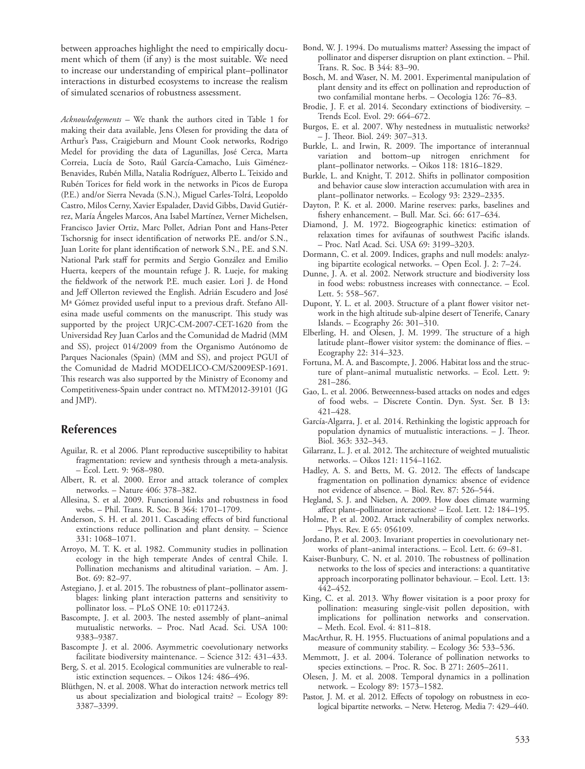between approaches highlight the need to empirically document which of them (if any) is the most suitable. We need to increase our understanding of empirical plant–pollinator interactions in disturbed ecosystems to increase the realism of simulated scenarios of robustness assessment.

*Acknowledgements –* We thank the authors cited in Table 1 for making their data available, Jens Olesen for providing the data of Arthur's Pass, Craigieburn and Mount Cook networks, Rodrigo Medel for providing the data of Lagunillas, José Cerca, Marta Correia, Lucía de Soto, Raúl García-Camacho, Luis Giménez-Benavides, Rubén Milla, Natalia Rodríguez, Alberto L. Teixido and Rubén Torices for field work in the networks in Picos de Europa (P.E.) and/or Sierra Nevada (S.N.), Miguel Carles-Tolrá, Leopoldo Castro, Milos Cerny, Xavier Espalader, David Gibbs, David Gutiérrez, María Ángeles Marcos, Ana Isabel Martínez, Verner Michelsen, Francisco Javier Ortiz, Marc Pollet, Adrian Pont and Hans-Peter Tschorsnig for insect identification of networks P.E. and/or S.N., Juan Lorite for plant identification of network S.N., P.E. and S.N. National Park staff for permits and Sergio González and Emilio Huerta, keepers of the mountain refuge J. R. Lueje, for making the fieldwork of the network P.E. much easier. Lori J. de Hond and Jeff Ollerton reviewed the English. Adrián Escudero and José Mª Gómez provided useful input to a previous draft. Stefano Allesina made useful comments on the manuscript. This study was supported by the project URJC-CM-2007-CET-1620 from the Universidad Rey Juan Carlos and the Comunidad de Madrid (MM and SS), project 014/2009 from the Organismo Autónomo de Parques Nacionales (Spain) (MM and SS), and project PGUI of the Comunidad de Madrid MODELICO-CM/S2009ESP-1691. This research was also supported by the Ministry of Economy and Competitiveness-Spain under contract no. MTM2012-39101 (JG and JMP).

## **References**

- Aguilar, R. et al 2006. Plant reproductive susceptibility to habitat fragmentation: review and synthesis through a meta-analysis. – Ecol. Lett. 9: 968–980.
- Albert, R. et al. 2000. Error and attack tolerance of complex networks. – Nature 406: 378–382.
- Allesina, S. et al. 2009. Functional links and robustness in food webs. – Phil. Trans. R. Soc. B 364: 1701–1709.
- Anderson, S. H. et al. 2011. Cascading effects of bird functional extinctions reduce pollination and plant density. – Science 331: 1068–1071.
- Arroyo, M. T. K. et al. 1982. Community studies in pollination ecology in the high temperate Andes of central Chile. I. Pollination mechanisms and altitudinal variation. – Am. J. Bot. 69: 82–97.
- Astegiano, J. et al. 2015. The robustness of plant–pollinator assemblages: linking plant interaction patterns and sensitivity to pollinator loss. – PLoS ONE 10: e0117243.
- Bascompte, J. et al. 2003. The nested assembly of plant–animal mutualistic networks. – Proc. Natl Acad. Sci. USA 100: 9383–9387.
- Bascompte J. et al. 2006. Asymmetric coevolutionary networks facilitate biodiversity maintenance. – Science 312: 431–433.
- Berg, S. et al. 2015. Ecological communities are vulnerable to realistic extinction sequences. – Oikos 124: 486–496.
- Blüthgen, N. et al. 2008. What do interaction network metrics tell us about specialization and biological traits? – Ecology 89: 3387–3399.
- Bond, W. J. 1994. Do mutualisms matter? Assessing the impact of pollinator and disperser disruption on plant extinction. – Phil. Trans. R. Soc. B 344: 83–90.
- Bosch, M. and Waser, N. M. 2001. Experimental manipulation of plant density and its effect on pollination and reproduction of two confamilial montane herbs. – Oecologia 126: 76–83.
- Brodie, J. F. et al. 2014. Secondary extinctions of biodiversity. Trends Ecol. Evol. 29: 664–672.
- Burgos, E. et al. 2007. Why nestedness in mutualistic networks? – J. Theor. Biol. 249: 307–313.
- Burkle, L. and Irwin, R. 2009. The importance of interannual variation and bottom–up nitrogen enrichment for plant–pollinator networks. – Oikos 118: 1816–1829.
- Burkle, L. and Knight, T. 2012. Shifts in pollinator composition and behavior cause slow interaction accumulation with area in plant–pollinator networks. – Ecology 93: 2329–2335.
- Dayton, P. K. et al. 2000. Marine reserves: parks, baselines and fishery enhancement. – Bull. Mar. Sci. 66: 617–634.
- Diamond, J. M. 1972. Biogeographic kinetics: estimation of relaxation times for avifaunas of southwest Pacific islands. – Proc. Natl Acad. Sci. USA 69: 3199–3203.
- Dormann, C. et al. 2009. Indices, graphs and null models: analyzing bipartite ecological networks. – Open Ecol. J. 2: 7–24.
- Dunne, J. A. et al. 2002. Network structure and biodiversity loss in food webs: robustness increases with connectance. – Ecol. Lett. 5: 558–567.
- Dupont, Y. L. et al. 2003. Structure of a plant flower visitor network in the high altitude sub-alpine desert of Tenerife, Canary Islands. – Ecography 26: 301–310.
- Elberling, H. and Olesen, J. M. 1999. The structure of a high latitude plant–flower visitor system: the dominance of flies. – Ecography 22: 314–323.
- Fortuna, M. A. and Bascompte, J. 2006. Habitat loss and the structure of plant–animal mutualistic networks. – Ecol. Lett. 9: 281–286.
- Gao, L. et al. 2006. Betweenness-based attacks on nodes and edges of food webs. – Discrete Contin. Dyn. Syst. Ser. B 13: 421–428.
- García-Algarra, J. et al. 2014. Rethinking the logistic approach for population dynamics of mutualistic interactions. – J. Theor. Biol. 363: 332–343.
- Gilarranz, L. J. et al. 2012. The architecture of weighted mutualistic networks. – Oikos 121: 1154–1162.
- Hadley, A. S. and Betts, M. G. 2012. The effects of landscape fragmentation on pollination dynamics: absence of evidence not evidence of absence. – Biol. Rev. 87: 526–544.
- Hegland, S. J. and Nielsen, A. 2009. How does climate warming affect plant–pollinator interactions? – Ecol. Lett. 12: 184–195.
- Holme, P. et al. 2002. Attack vulnerability of complex networks. – Phys. Rev. E 65: 056109.
- Jordano, P. et al. 2003. Invariant properties in coevolutionary networks of plant–animal interactions. – Ecol. Lett. 6: 69–81.
- Kaiser-Bunbury, C. N. et al. 2010. The robustness of pollination networks to the loss of species and interactions: a quantitative approach incorporating pollinator behaviour. – Ecol. Lett. 13: 442–452.
- King, C. et al. 2013. Why flower visitation is a poor proxy for pollination: measuring single-visit pollen deposition, with implications for pollination networks and conservation. – Meth. Ecol. Evol. 4: 811–818.
- MacArthur, R. H. 1955. Fluctuations of animal populations and a measure of community stability. – Ecology 36: 533–536.
- Memmott, J. et al. 2004. Tolerance of pollination networks to species extinctions. – Proc. R. Soc. B 271: 2605–2611.
- Olesen, J. M. et al. 2008. Temporal dynamics in a pollination network. – Ecology 89: 1573–1582.
- Pastor, J. M. et al. 2012. Effects of topology on robustness in ecological bipartite networks. – Netw. Heterog. Media 7: 429–440.